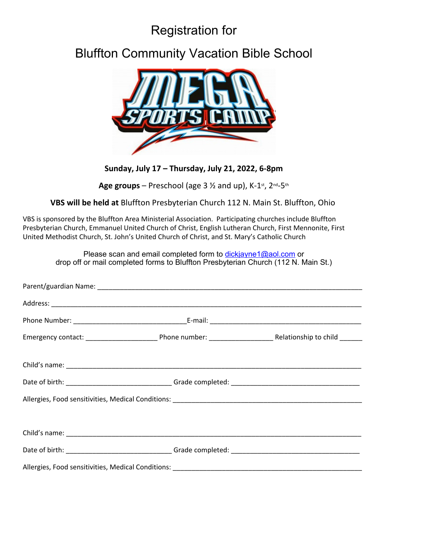# Registration for

## Bluffton Community Vacation Bible School



**Sunday, July 17 – Thursday, July 21, 2022, 6-8pm**

Age groups – Preschool (age 3  $\frac{1}{2}$  and up), K-1<sup>st</sup>, 2<sup>nd</sup>-5<sup>th</sup>

**VBS will be held at** Bluffton Presbyterian Church 112 N. Main St. Bluffton, Ohio

VBS is sponsored by the Bluffton Area Ministerial Association. Participating churches include Bluffton Presbyterian Church, Emmanuel United Church of Christ, English Lutheran Church, First Mennonite, First United Methodist Church, St. John's United Church of Christ, and St. Mary's Catholic Church

> Please scan and email completed form to dickjayne1@aol.com or drop off or mail completed forms to Bluffton Presbyterian Church (112 N. Main St.)